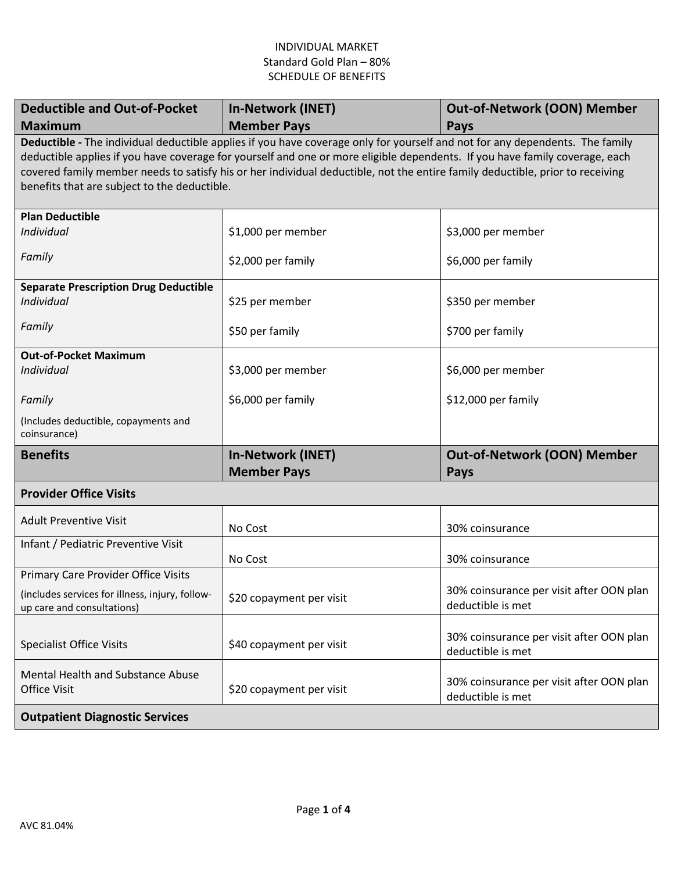| <b>Deductible and Out-of-Pocket</b><br><b>Maximum</b>                                                                                                                                                                                                                                                                                                                                                                                        | <b>In-Network (INET)</b><br><b>Member Pays</b> | <b>Out-of-Network (OON) Member</b><br><b>Pays</b>             |  |  |
|----------------------------------------------------------------------------------------------------------------------------------------------------------------------------------------------------------------------------------------------------------------------------------------------------------------------------------------------------------------------------------------------------------------------------------------------|------------------------------------------------|---------------------------------------------------------------|--|--|
| Deductible - The individual deductible applies if you have coverage only for yourself and not for any dependents. The family<br>deductible applies if you have coverage for yourself and one or more eligible dependents. If you have family coverage, each<br>covered family member needs to satisfy his or her individual deductible, not the entire family deductible, prior to receiving<br>benefits that are subject to the deductible. |                                                |                                                               |  |  |
| <b>Plan Deductible</b><br>Individual                                                                                                                                                                                                                                                                                                                                                                                                         | \$1,000 per member                             | \$3,000 per member                                            |  |  |
| Family                                                                                                                                                                                                                                                                                                                                                                                                                                       | \$2,000 per family                             | \$6,000 per family                                            |  |  |
| <b>Separate Prescription Drug Deductible</b><br>Individual                                                                                                                                                                                                                                                                                                                                                                                   | \$25 per member                                | \$350 per member                                              |  |  |
| Family                                                                                                                                                                                                                                                                                                                                                                                                                                       | \$50 per family                                | \$700 per family                                              |  |  |
| <b>Out-of-Pocket Maximum</b><br>Individual                                                                                                                                                                                                                                                                                                                                                                                                   | \$3,000 per member                             | \$6,000 per member                                            |  |  |
| Family                                                                                                                                                                                                                                                                                                                                                                                                                                       | \$6,000 per family                             | \$12,000 per family                                           |  |  |
| (Includes deductible, copayments and<br>coinsurance)                                                                                                                                                                                                                                                                                                                                                                                         |                                                |                                                               |  |  |
| <b>Benefits</b>                                                                                                                                                                                                                                                                                                                                                                                                                              | <b>In-Network (INET)</b><br><b>Member Pays</b> | <b>Out-of-Network (OON) Member</b><br><b>Pays</b>             |  |  |
| <b>Provider Office Visits</b>                                                                                                                                                                                                                                                                                                                                                                                                                |                                                |                                                               |  |  |
| <b>Adult Preventive Visit</b>                                                                                                                                                                                                                                                                                                                                                                                                                | No Cost                                        | 30% coinsurance                                               |  |  |
| Infant / Pediatric Preventive Visit                                                                                                                                                                                                                                                                                                                                                                                                          | No Cost                                        | 30% coinsurance                                               |  |  |
| <b>Primary Care Provider Office Visits</b>                                                                                                                                                                                                                                                                                                                                                                                                   |                                                |                                                               |  |  |
| (includes services for illness, injury, follow-<br>up care and consultations)                                                                                                                                                                                                                                                                                                                                                                | \$20 copayment per visit                       | 30% coinsurance per visit after OON plan<br>deductible is met |  |  |
| <b>Specialist Office Visits</b>                                                                                                                                                                                                                                                                                                                                                                                                              | \$40 copayment per visit                       | 30% coinsurance per visit after OON plan<br>deductible is met |  |  |
| Mental Health and Substance Abuse<br><b>Office Visit</b>                                                                                                                                                                                                                                                                                                                                                                                     | \$20 copayment per visit                       | 30% coinsurance per visit after OON plan<br>deductible is met |  |  |
| <b>Outpatient Diagnostic Services</b>                                                                                                                                                                                                                                                                                                                                                                                                        |                                                |                                                               |  |  |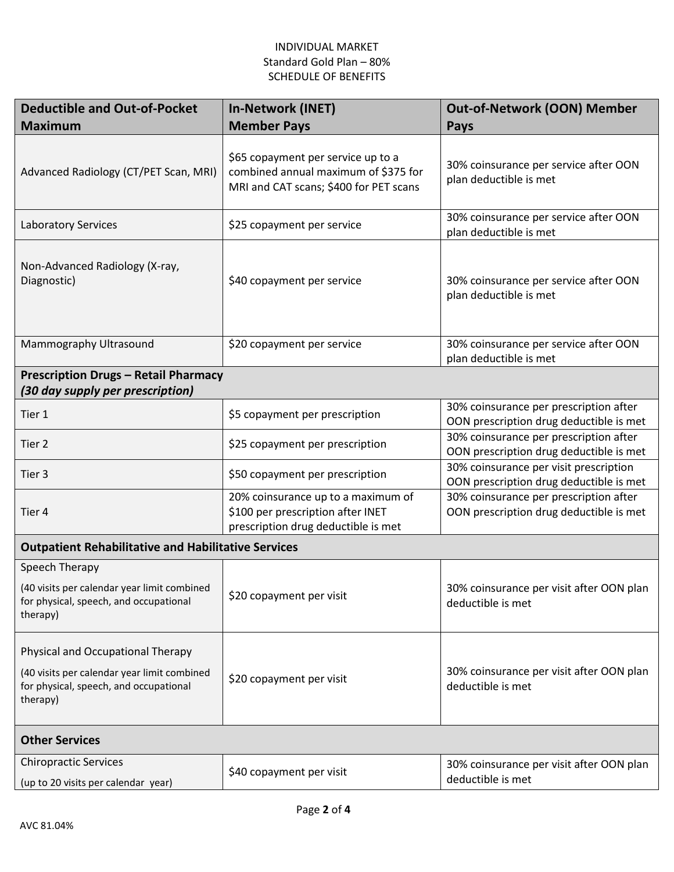| <b>Deductible and Out-of-Pocket</b><br><b>Maximum</b>                                                                                  | <b>In-Network (INET)</b><br><b>Member Pays</b>                                                                       | <b>Out-of-Network (OON) Member</b><br>Pays                                        |  |  |
|----------------------------------------------------------------------------------------------------------------------------------------|----------------------------------------------------------------------------------------------------------------------|-----------------------------------------------------------------------------------|--|--|
| Advanced Radiology (CT/PET Scan, MRI)                                                                                                  | \$65 copayment per service up to a<br>combined annual maximum of \$375 for<br>MRI and CAT scans; \$400 for PET scans | 30% coinsurance per service after OON<br>plan deductible is met                   |  |  |
| <b>Laboratory Services</b>                                                                                                             | \$25 copayment per service                                                                                           | 30% coinsurance per service after OON<br>plan deductible is met                   |  |  |
| Non-Advanced Radiology (X-ray,<br>Diagnostic)                                                                                          | \$40 copayment per service                                                                                           | 30% coinsurance per service after OON<br>plan deductible is met                   |  |  |
| Mammography Ultrasound                                                                                                                 | \$20 copayment per service                                                                                           | 30% coinsurance per service after OON<br>plan deductible is met                   |  |  |
| <b>Prescription Drugs - Retail Pharmacy</b><br>(30 day supply per prescription)                                                        |                                                                                                                      |                                                                                   |  |  |
| Tier 1                                                                                                                                 | \$5 copayment per prescription                                                                                       | 30% coinsurance per prescription after<br>OON prescription drug deductible is met |  |  |
| Tier 2                                                                                                                                 | \$25 copayment per prescription                                                                                      | 30% coinsurance per prescription after<br>OON prescription drug deductible is met |  |  |
| Tier 3                                                                                                                                 | \$50 copayment per prescription                                                                                      | 30% coinsurance per visit prescription<br>OON prescription drug deductible is met |  |  |
| Tier 4                                                                                                                                 | 20% coinsurance up to a maximum of<br>\$100 per prescription after INET<br>prescription drug deductible is met       | 30% coinsurance per prescription after<br>OON prescription drug deductible is met |  |  |
| <b>Outpatient Rehabilitative and Habilitative Services</b>                                                                             |                                                                                                                      |                                                                                   |  |  |
| Speech Therapy<br>(40 visits per calendar year limit combined<br>for physical, speech, and occupational<br>therapy)                    | \$20 copayment per visit                                                                                             | 30% coinsurance per visit after OON plan<br>deductible is met                     |  |  |
| Physical and Occupational Therapy<br>(40 visits per calendar year limit combined<br>for physical, speech, and occupational<br>therapy) | \$20 copayment per visit                                                                                             | 30% coinsurance per visit after OON plan<br>deductible is met                     |  |  |
| <b>Other Services</b>                                                                                                                  |                                                                                                                      |                                                                                   |  |  |
| <b>Chiropractic Services</b><br>(up to 20 visits per calendar year)                                                                    | \$40 copayment per visit                                                                                             | 30% coinsurance per visit after OON plan<br>deductible is met                     |  |  |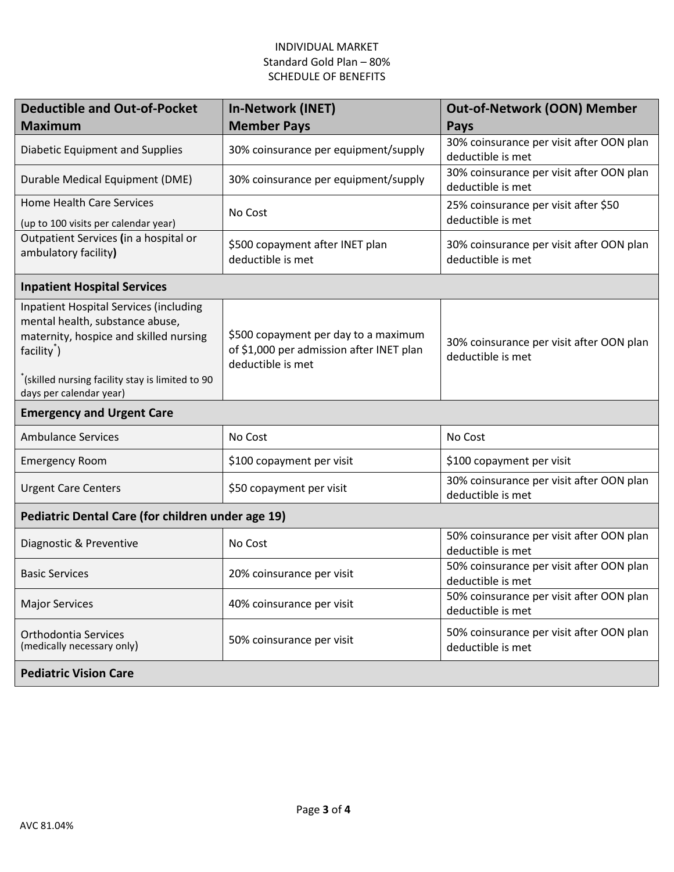| <b>Deductible and Out-of-Pocket</b><br><b>Maximum</b>                                                                                                                                                                               | In-Network (INET)<br><b>Member Pays</b>                                                               | <b>Out-of-Network (OON) Member</b><br>Pays                    |  |  |
|-------------------------------------------------------------------------------------------------------------------------------------------------------------------------------------------------------------------------------------|-------------------------------------------------------------------------------------------------------|---------------------------------------------------------------|--|--|
| Diabetic Equipment and Supplies                                                                                                                                                                                                     | 30% coinsurance per equipment/supply                                                                  | 30% coinsurance per visit after OON plan<br>deductible is met |  |  |
| Durable Medical Equipment (DME)                                                                                                                                                                                                     | 30% coinsurance per equipment/supply                                                                  | 30% coinsurance per visit after OON plan<br>deductible is met |  |  |
| <b>Home Health Care Services</b><br>(up to 100 visits per calendar year)                                                                                                                                                            | No Cost                                                                                               | 25% coinsurance per visit after \$50<br>deductible is met     |  |  |
| Outpatient Services (in a hospital or<br>ambulatory facility)                                                                                                                                                                       | \$500 copayment after INET plan<br>deductible is met                                                  | 30% coinsurance per visit after OON plan<br>deductible is met |  |  |
| <b>Inpatient Hospital Services</b>                                                                                                                                                                                                  |                                                                                                       |                                                               |  |  |
| <b>Inpatient Hospital Services (including</b><br>mental health, substance abuse,<br>maternity, hospice and skilled nursing<br>facility <sup>*</sup> )<br>(skilled nursing facility stay is limited to 90<br>days per calendar year) | \$500 copayment per day to a maximum<br>of \$1,000 per admission after INET plan<br>deductible is met | 30% coinsurance per visit after OON plan<br>deductible is met |  |  |
| <b>Emergency and Urgent Care</b>                                                                                                                                                                                                    |                                                                                                       |                                                               |  |  |
| <b>Ambulance Services</b>                                                                                                                                                                                                           | No Cost                                                                                               | No Cost                                                       |  |  |
| <b>Emergency Room</b>                                                                                                                                                                                                               | \$100 copayment per visit                                                                             | \$100 copayment per visit                                     |  |  |
| <b>Urgent Care Centers</b>                                                                                                                                                                                                          | \$50 copayment per visit                                                                              | 30% coinsurance per visit after OON plan<br>deductible is met |  |  |
| Pediatric Dental Care (for children under age 19)                                                                                                                                                                                   |                                                                                                       |                                                               |  |  |
| Diagnostic & Preventive                                                                                                                                                                                                             | No Cost                                                                                               | 50% coinsurance per visit after OON plan<br>deductible is met |  |  |
| <b>Basic Services</b>                                                                                                                                                                                                               | 20% coinsurance per visit                                                                             | 50% coinsurance per visit after OON plan<br>deductible is met |  |  |
| <b>Major Services</b>                                                                                                                                                                                                               | 40% coinsurance per visit                                                                             | 50% coinsurance per visit after OON plan<br>deductible is met |  |  |
| Orthodontia Services<br>(medically necessary only)                                                                                                                                                                                  | 50% coinsurance per visit                                                                             | 50% coinsurance per visit after OON plan<br>deductible is met |  |  |
| <b>Pediatric Vision Care</b>                                                                                                                                                                                                        |                                                                                                       |                                                               |  |  |